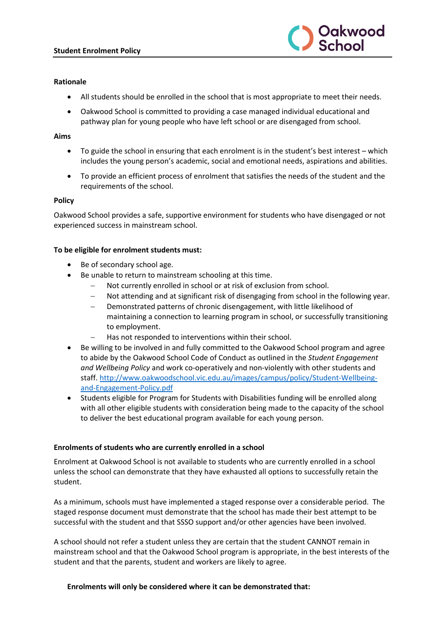

# **Rationale**

- All students should be enrolled in the school that is most appropriate to meet their needs.
- Oakwood School is committed to providing a case managed individual educational and pathway plan for young people who have left school or are disengaged from school.

## **Aims**

- To guide the school in ensuring that each enrolment is in the student's best interest which includes the young person's academic, social and emotional needs, aspirations and abilities.
- To provide an efficient process of enrolment that satisfies the needs of the student and the requirements of the school.

## **Policy**

Oakwood School provides a safe, supportive environment for students who have disengaged or not experienced success in mainstream school.

## **To be eligible for enrolment students must:**

- Be of secondary school age.
- Be unable to return to mainstream schooling at this time.
	- − Not currently enrolled in school or at risk of exclusion from school.
	- − Not attending and at significant risk of disengaging from school in the following year.
	- − Demonstrated patterns of chronic disengagement, with little likelihood of maintaining a connection to learning program in school, or successfully transitioning to employment.
	- − Has not responded to interventions within their school.
- Be willing to be involved in and fully committed to the Oakwood School program and agree to abide by the Oakwood School Code of Conduct as outlined in the *Student Engagement and Wellbeing Policy* and work co-operatively and non-violently with other students and staff. [http://www.oakwoodschool.vic.edu.au/images/campus/policy/Student-Wellbeing](http://www.oakwoodschool.vic.edu.au/images/campus/policy/Student-Wellbeing-and-Engagement-Policy.pdf)[and-Engagement-Policy.pdf](http://www.oakwoodschool.vic.edu.au/images/campus/policy/Student-Wellbeing-and-Engagement-Policy.pdf)
- Students eligible for Program for Students with Disabilities funding will be enrolled along with all other eligible students with consideration being made to the capacity of the school to deliver the best educational program available for each young person.

#### **Enrolments of students who are currently enrolled in a school**

Enrolment at Oakwood School is not available to students who are currently enrolled in a school unless the school can demonstrate that they have exhausted all options to successfully retain the student.

As a minimum, schools must have implemented a staged response over a considerable period. The staged response document must demonstrate that the school has made their best attempt to be successful with the student and that SSSO support and/or other agencies have been involved.

A school should not refer a student unless they are certain that the student CANNOT remain in mainstream school and that the Oakwood School program is appropriate, in the best interests of the student and that the parents, student and workers are likely to agree.

# **Enrolments will only be considered where it can be demonstrated that:**